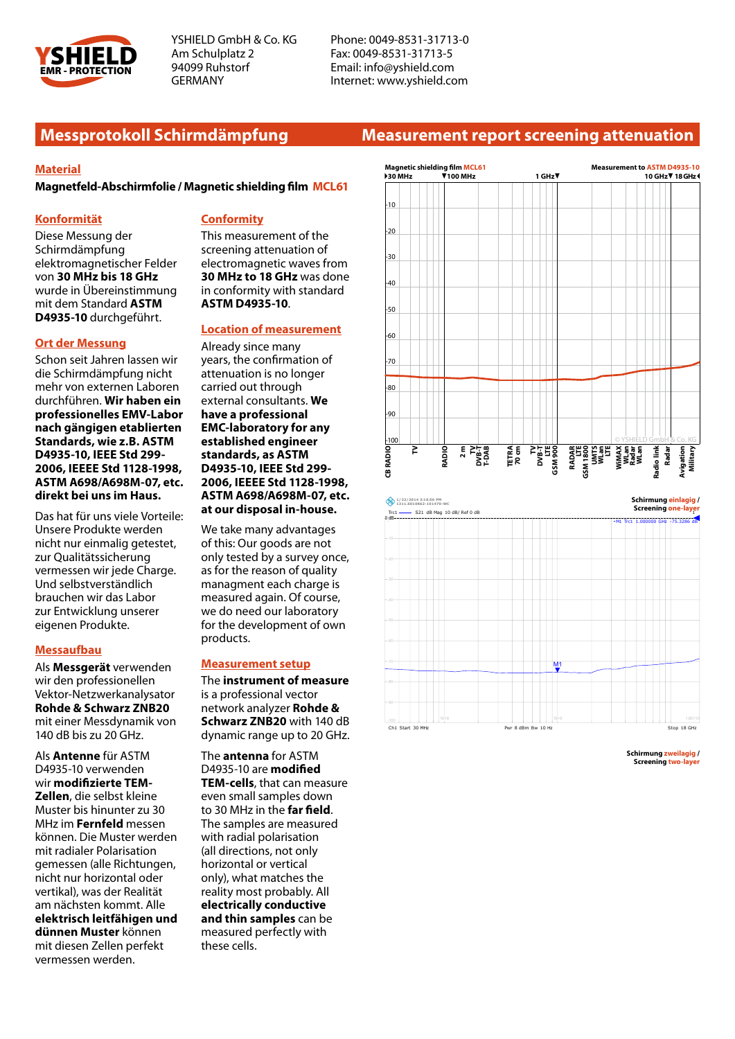

YSHIELD GmbH & Co. KG Am Schulplatz 2 94099 Ruhstorf GERMANY

Phone: 0049-8531-31713-0 Fax: 0049-8531-31713-5 Email: info@yshield.com Internet: www.yshield.com

# **Messprotokoll Schirmdämpfung Measurement report screening attenuation**

### **Material**

**Magnetfeld-Abschirmfolie / Magnetic shielding film MCL61**

## **Konformität**

Diese Messung der Schirmdämpfung elektromagnetischer Felder von **30 MHz bis 18 GHz** wurde in Übereinstimmung mit dem Standard **ASTM D4935-10** durchgeführt.

### **Ort der Messung**

Schon seit Jahren lassen wir die Schirmdämpfung nicht mehr von externen Laboren durchführen. **Wir haben ein professionelles EMV-Labor nach gängigen etablierten Standards, wie z.B. ASTM D4935-10, IEEE Std 299- 2006, IEEEE Std 1128-1998, ASTM A698/A698M-07, etc. direkt bei uns im Haus.**

Das hat für uns viele Vorteile: Unsere Produkte werden nicht nur einmalig getestet, zur Qualitätssicherung vermessen wir jede Charge. Und selbstverständlich brauchen wir das Labor zur Entwicklung unserer eigenen Produkte.

#### **Messaufbau**

Als **Messgerät** verwenden wir den professionellen Vektor-Netzwerkanalysator **Rohde & Schwarz ZNB20** mit einer Messdynamik von 140 dB bis zu 20 GHz.

Als **Antenne** für ASTM D4935-10 verwenden wir **modifizierte TEM-Zellen**, die selbst kleine Muster bis hinunter zu 30 MHz im **Fernfeld** messen können. Die Muster werden mit radialer Polarisation gemessen (alle Richtungen, nicht nur horizontal oder vertikal), was der Realität am nächsten kommt. Alle **elektrisch leitfähigen und dünnen Muster** können mit diesen Zellen perfekt vermessen werden.

### **Conformity**

This measurement of the screening attenuation of electromagnetic waves from **30 MHz to 18 GHz** was done in conformity with standard **ASTM D4935-10**.

### **Location of measurement**

Already since many years, the confirmation of attenuation is no longer carried out through external consultants. **We have a professional EMC-laboratory for any established engineer standards, as ASTM D4935-10, IEEE Std 299- 2006, IEEEE Std 1128-1998, ASTM A698/A698M-07, etc. at our disposal in-house.**

We take many advantages of this: Our goods are not only tested by a survey once, as for the reason of quality managment each charge is measured again. Of course, we do need our laboratory for the development of own products.

#### **Measurement setup**

The **instrument of measure** is a professional vector network analyzer **Rohde & Schwarz ZNB20** with 140 dB dynamic range up to 20 GHz.

The **antenna** for ASTM D4935-10 are **modified TEM-cells**, that can measure even small samples down to 30 MHz in the **far field**. The samples are measured with radial polarisation (all directions, not only horizontal or vertical only), what matches the reality most probably. All **electrically conductive and thin samples** can be measured perfectly with these cells.





**Schirmung zweilagig / Screening two-layer**